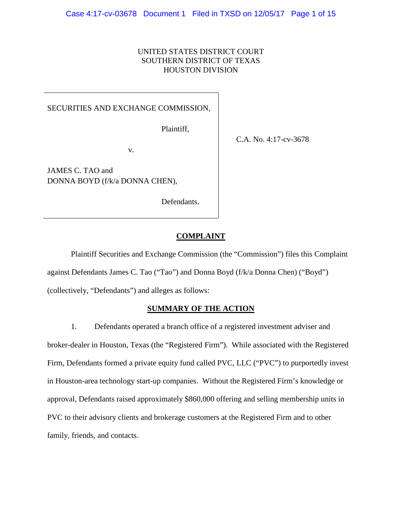## UNITED STATES DISTRICT COURT SOUTHERN DISTRICT OF TEXAS HOUSTON DIVISION

# SECURITIES AND EXCHANGE COMMISSION,

v.

Plaintiff,

C.A. No. 4:17-cv-3678

JAMES C. TAO and DONNA BOYD (f/k/a DONNA CHEN),

Defendants.

# **COMPLAINT**

Plaintiff Securities and Exchange Commission (the "Commission") files this Complaint against Defendants James C. Tao ("Tao") and Donna Boyd (f/k/a Donna Chen) ("Boyd") (collectively, "Defendants") and alleges as follows:

### **SUMMARY OF THE ACTION**

1. Defendants operated a branch office of a registered investment adviser and broker-dealer in Houston, Texas (the "Registered Firm"). While associated with the Registered Firm, Defendants formed a private equity fund called PVC, LLC ("PVC") to purportedly invest in Houston-area technology start-up companies. Without the Registered Firm's knowledge or approval, Defendants raised approximately \$860,000 offering and selling membership units in PVC to their advisory clients and brokerage customers at the Registered Firm and to other family, friends, and contacts.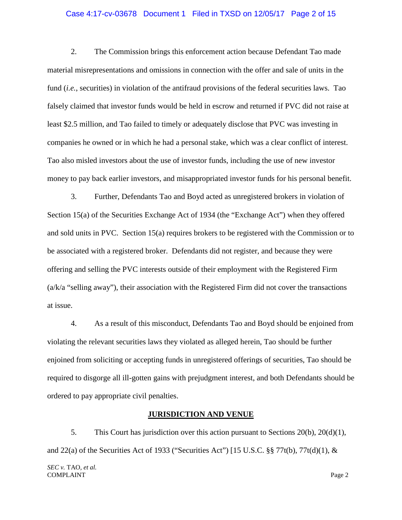#### Case 4:17-cv-03678 Document 1 Filed in TXSD on 12/05/17 Page 2 of 15

2. The Commission brings this enforcement action because Defendant Tao made material misrepresentations and omissions in connection with the offer and sale of units in the fund (*i.e.*, securities) in violation of the antifraud provisions of the federal securities laws. Tao falsely claimed that investor funds would be held in escrow and returned if PVC did not raise at least \$2.5 million, and Tao failed to timely or adequately disclose that PVC was investing in companies he owned or in which he had a personal stake, which was a clear conflict of interest. Tao also misled investors about the use of investor funds, including the use of new investor money to pay back earlier investors, and misappropriated investor funds for his personal benefit.

3. Further, Defendants Tao and Boyd acted as unregistered brokers in violation of Section 15(a) of the Securities Exchange Act of 1934 (the "Exchange Act") when they offered and sold units in PVC. Section 15(a) requires brokers to be registered with the Commission or to be associated with a registered broker. Defendants did not register, and because they were offering and selling the PVC interests outside of their employment with the Registered Firm  $(a/k/a$  "selling away"), their association with the Registered Firm did not cover the transactions at issue.

4. As a result of this misconduct, Defendants Tao and Boyd should be enjoined from violating the relevant securities laws they violated as alleged herein, Tao should be further enjoined from soliciting or accepting funds in unregistered offerings of securities, Tao should be required to disgorge all ill-gotten gains with prejudgment interest, and both Defendants should be ordered to pay appropriate civil penalties.

### **JURISDICTION AND VENUE**

5. This Court has jurisdiction over this action pursuant to Sections 20(b), 20(d)(1), and 22(a) of the Securities Act of 1933 ("Securities Act") [15 U.S.C.  $\S$  $77t(b)$ ,  $77t(d)(1)$ , &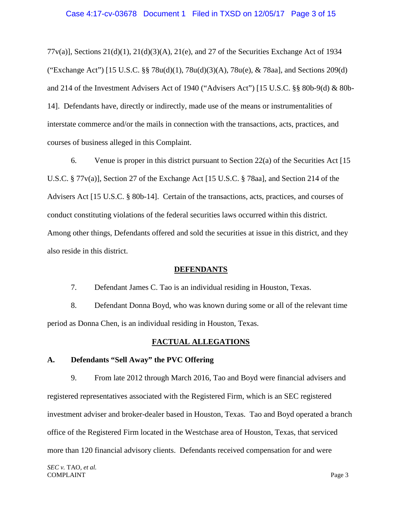77 $v(a)$ ], Sections 21(d)(1), 21(d)(3)(A), 21(e), and 27 of the Securities Exchange Act of 1934 ("Exchange Act") [15 U.S.C. §§ 78u(d)(1), 78u(d)(3)(A), 78u(e), & 78aa], and Sections 209(d) and 214 of the Investment Advisers Act of 1940 ("Advisers Act") [15 U.S.C. §§ 80b-9(d) & 80b-14]. Defendants have, directly or indirectly, made use of the means or instrumentalities of interstate commerce and/or the mails in connection with the transactions, acts, practices, and courses of business alleged in this Complaint.

6. Venue is proper in this district pursuant to Section 22(a) of the Securities Act [15 U.S.C. § 77v(a)], Section 27 of the Exchange Act [15 U.S.C. § 78aa], and Section 214 of the Advisers Act [15 U.S.C. § 80b-14]. Certain of the transactions, acts, practices, and courses of conduct constituting violations of the federal securities laws occurred within this district. Among other things, Defendants offered and sold the securities at issue in this district, and they also reside in this district.

### **DEFENDANTS**

7. Defendant James C. Tao is an individual residing in Houston, Texas.

8. Defendant Donna Boyd, who was known during some or all of the relevant time period as Donna Chen, is an individual residing in Houston, Texas.

### **FACTUAL ALLEGATIONS**

### **A. Defendants "Sell Away" the PVC Offering**

9. From late 2012 through March 2016, Tao and Boyd were financial advisers and registered representatives associated with the Registered Firm, which is an SEC registered investment adviser and broker-dealer based in Houston, Texas. Tao and Boyd operated a branch office of the Registered Firm located in the Westchase area of Houston, Texas, that serviced more than 120 financial advisory clients. Defendants received compensation for and were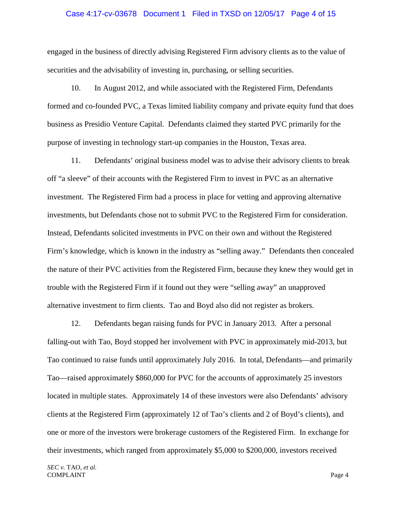#### Case 4:17-cv-03678 Document 1 Filed in TXSD on 12/05/17 Page 4 of 15

engaged in the business of directly advising Registered Firm advisory clients as to the value of securities and the advisability of investing in, purchasing, or selling securities.

10. In August 2012, and while associated with the Registered Firm, Defendants formed and co-founded PVC, a Texas limited liability company and private equity fund that does business as Presidio Venture Capital. Defendants claimed they started PVC primarily for the purpose of investing in technology start-up companies in the Houston, Texas area.

11. Defendants' original business model was to advise their advisory clients to break off "a sleeve" of their accounts with the Registered Firm to invest in PVC as an alternative investment. The Registered Firm had a process in place for vetting and approving alternative investments, but Defendants chose not to submit PVC to the Registered Firm for consideration. Instead, Defendants solicited investments in PVC on their own and without the Registered Firm's knowledge, which is known in the industry as "selling away." Defendants then concealed the nature of their PVC activities from the Registered Firm, because they knew they would get in trouble with the Registered Firm if it found out they were "selling away" an unapproved alternative investment to firm clients. Tao and Boyd also did not register as brokers.

12. Defendants began raising funds for PVC in January 2013. After a personal falling-out with Tao, Boyd stopped her involvement with PVC in approximately mid-2013, but Tao continued to raise funds until approximately July 2016. In total, Defendants—and primarily Tao—raised approximately \$860,000 for PVC for the accounts of approximately 25 investors located in multiple states. Approximately 14 of these investors were also Defendants' advisory clients at the Registered Firm (approximately 12 of Tao's clients and 2 of Boyd's clients), and one or more of the investors were brokerage customers of the Registered Firm. In exchange for their investments, which ranged from approximately \$5,000 to \$200,000, investors received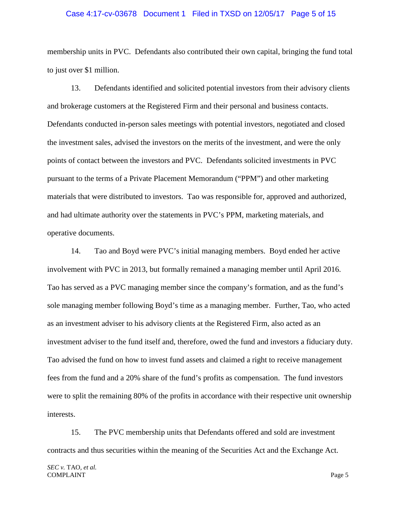#### Case 4:17-cv-03678 Document 1 Filed in TXSD on 12/05/17 Page 5 of 15

membership units in PVC. Defendants also contributed their own capital, bringing the fund total to just over \$1 million.

13. Defendants identified and solicited potential investors from their advisory clients and brokerage customers at the Registered Firm and their personal and business contacts. Defendants conducted in-person sales meetings with potential investors, negotiated and closed the investment sales, advised the investors on the merits of the investment, and were the only points of contact between the investors and PVC. Defendants solicited investments in PVC pursuant to the terms of a Private Placement Memorandum ("PPM") and other marketing materials that were distributed to investors. Tao was responsible for, approved and authorized, and had ultimate authority over the statements in PVC's PPM, marketing materials, and operative documents.

14. Tao and Boyd were PVC's initial managing members. Boyd ended her active involvement with PVC in 2013, but formally remained a managing member until April 2016. Tao has served as a PVC managing member since the company's formation, and as the fund's sole managing member following Boyd's time as a managing member. Further, Tao, who acted as an investment adviser to his advisory clients at the Registered Firm, also acted as an investment adviser to the fund itself and, therefore, owed the fund and investors a fiduciary duty. Tao advised the fund on how to invest fund assets and claimed a right to receive management fees from the fund and a 20% share of the fund's profits as compensation. The fund investors were to split the remaining 80% of the profits in accordance with their respective unit ownership interests.

15. The PVC membership units that Defendants offered and sold are investment contracts and thus securities within the meaning of the Securities Act and the Exchange Act.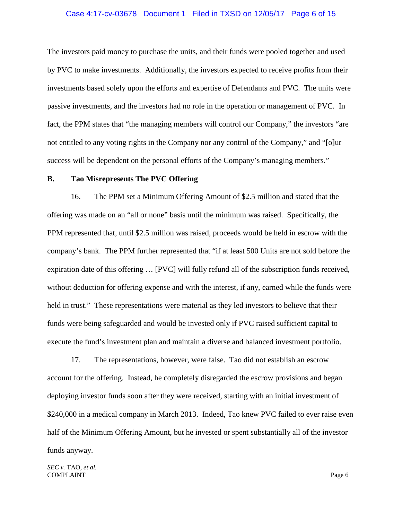#### Case 4:17-cv-03678 Document 1 Filed in TXSD on 12/05/17 Page 6 of 15

The investors paid money to purchase the units, and their funds were pooled together and used by PVC to make investments. Additionally, the investors expected to receive profits from their investments based solely upon the efforts and expertise of Defendants and PVC. The units were passive investments, and the investors had no role in the operation or management of PVC. In fact, the PPM states that "the managing members will control our Company," the investors "are not entitled to any voting rights in the Company nor any control of the Company," and "[o]ur success will be dependent on the personal efforts of the Company's managing members."

### **B. Tao Misrepresents The PVC Offering**

16. The PPM set a Minimum Offering Amount of \$2.5 million and stated that the offering was made on an "all or none" basis until the minimum was raised. Specifically, the PPM represented that, until \$2.5 million was raised, proceeds would be held in escrow with the company's bank. The PPM further represented that "if at least 500 Units are not sold before the expiration date of this offering … [PVC] will fully refund all of the subscription funds received, without deduction for offering expense and with the interest, if any, earned while the funds were held in trust." These representations were material as they led investors to believe that their funds were being safeguarded and would be invested only if PVC raised sufficient capital to execute the fund's investment plan and maintain a diverse and balanced investment portfolio.

17. The representations, however, were false. Tao did not establish an escrow account for the offering. Instead, he completely disregarded the escrow provisions and began deploying investor funds soon after they were received, starting with an initial investment of \$240,000 in a medical company in March 2013. Indeed, Tao knew PVC failed to ever raise even half of the Minimum Offering Amount, but he invested or spent substantially all of the investor funds anyway.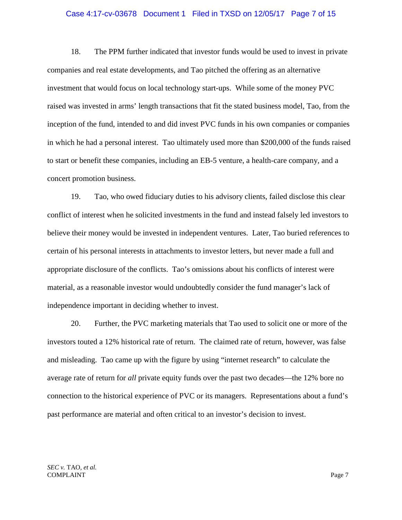#### Case 4:17-cv-03678 Document 1 Filed in TXSD on 12/05/17 Page 7 of 15

18. The PPM further indicated that investor funds would be used to invest in private companies and real estate developments, and Tao pitched the offering as an alternative investment that would focus on local technology start-ups. While some of the money PVC raised was invested in arms' length transactions that fit the stated business model, Tao, from the inception of the fund, intended to and did invest PVC funds in his own companies or companies in which he had a personal interest. Tao ultimately used more than \$200,000 of the funds raised to start or benefit these companies, including an EB-5 venture, a health-care company, and a concert promotion business.

19. Tao, who owed fiduciary duties to his advisory clients, failed disclose this clear conflict of interest when he solicited investments in the fund and instead falsely led investors to believe their money would be invested in independent ventures. Later, Tao buried references to certain of his personal interests in attachments to investor letters, but never made a full and appropriate disclosure of the conflicts. Tao's omissions about his conflicts of interest were material, as a reasonable investor would undoubtedly consider the fund manager's lack of independence important in deciding whether to invest.

20. Further, the PVC marketing materials that Tao used to solicit one or more of the investors touted a 12% historical rate of return. The claimed rate of return, however, was false and misleading. Tao came up with the figure by using "internet research" to calculate the average rate of return for *all* private equity funds over the past two decades—the 12% bore no connection to the historical experience of PVC or its managers. Representations about a fund's past performance are material and often critical to an investor's decision to invest.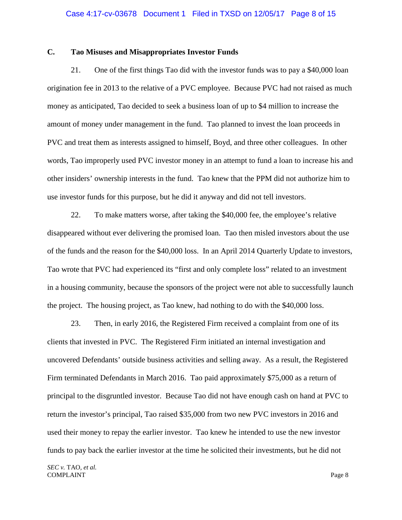### **C. Tao Misuses and Misappropriates Investor Funds**

21. One of the first things Tao did with the investor funds was to pay a \$40,000 loan origination fee in 2013 to the relative of a PVC employee. Because PVC had not raised as much money as anticipated, Tao decided to seek a business loan of up to \$4 million to increase the amount of money under management in the fund. Tao planned to invest the loan proceeds in PVC and treat them as interests assigned to himself, Boyd, and three other colleagues. In other words, Tao improperly used PVC investor money in an attempt to fund a loan to increase his and other insiders' ownership interests in the fund. Tao knew that the PPM did not authorize him to use investor funds for this purpose, but he did it anyway and did not tell investors.

22. To make matters worse, after taking the \$40,000 fee, the employee's relative disappeared without ever delivering the promised loan. Tao then misled investors about the use of the funds and the reason for the \$40,000 loss. In an April 2014 Quarterly Update to investors, Tao wrote that PVC had experienced its "first and only complete loss" related to an investment in a housing community, because the sponsors of the project were not able to successfully launch the project. The housing project, as Tao knew, had nothing to do with the \$40,000 loss.

23. Then, in early 2016, the Registered Firm received a complaint from one of its clients that invested in PVC. The Registered Firm initiated an internal investigation and uncovered Defendants' outside business activities and selling away. As a result, the Registered Firm terminated Defendants in March 2016. Tao paid approximately \$75,000 as a return of principal to the disgruntled investor. Because Tao did not have enough cash on hand at PVC to return the investor's principal, Tao raised \$35,000 from two new PVC investors in 2016 and used their money to repay the earlier investor. Tao knew he intended to use the new investor funds to pay back the earlier investor at the time he solicited their investments, but he did not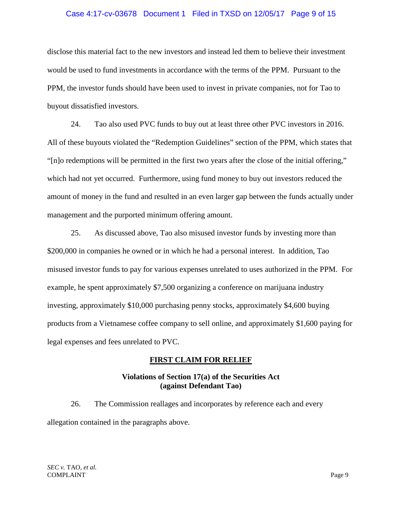### Case 4:17-cv-03678 Document 1 Filed in TXSD on 12/05/17 Page 9 of 15

disclose this material fact to the new investors and instead led them to believe their investment would be used to fund investments in accordance with the terms of the PPM. Pursuant to the PPM, the investor funds should have been used to invest in private companies, not for Tao to buyout dissatisfied investors.

24. Tao also used PVC funds to buy out at least three other PVC investors in 2016. All of these buyouts violated the "Redemption Guidelines" section of the PPM, which states that "[n]o redemptions will be permitted in the first two years after the close of the initial offering," which had not yet occurred. Furthermore, using fund money to buy out investors reduced the amount of money in the fund and resulted in an even larger gap between the funds actually under management and the purported minimum offering amount.

25. As discussed above, Tao also misused investor funds by investing more than \$200,000 in companies he owned or in which he had a personal interest. In addition, Tao misused investor funds to pay for various expenses unrelated to uses authorized in the PPM. For example, he spent approximately \$7,500 organizing a conference on marijuana industry investing, approximately \$10,000 purchasing penny stocks, approximately \$4,600 buying products from a Vietnamese coffee company to sell online, and approximately \$1,600 paying for legal expenses and fees unrelated to PVC.

## **FIRST CLAIM FOR RELIEF**

## **Violations of Section 17(a) of the Securities Act (against Defendant Tao)**

26. The Commission reallages and incorporates by reference each and every allegation contained in the paragraphs above.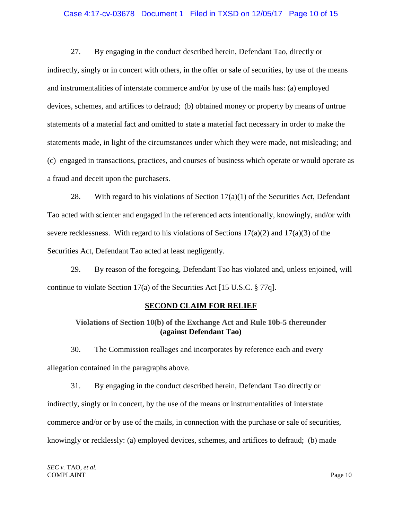#### Case 4:17-cv-03678 Document 1 Filed in TXSD on 12/05/17 Page 10 of 15

27. By engaging in the conduct described herein, Defendant Tao, directly or indirectly, singly or in concert with others, in the offer or sale of securities, by use of the means and instrumentalities of interstate commerce and/or by use of the mails has: (a) employed devices, schemes, and artifices to defraud; (b) obtained money or property by means of untrue statements of a material fact and omitted to state a material fact necessary in order to make the statements made, in light of the circumstances under which they were made, not misleading; and (c) engaged in transactions, practices, and courses of business which operate or would operate as a fraud and deceit upon the purchasers.

28. With regard to his violations of Section  $17(a)(1)$  of the Securities Act, Defendant Tao acted with scienter and engaged in the referenced acts intentionally, knowingly, and/or with severe recklessness. With regard to his violations of Sections  $17(a)(2)$  and  $17(a)(3)$  of the Securities Act, Defendant Tao acted at least negligently.

29. By reason of the foregoing, Defendant Tao has violated and, unless enjoined, will continue to violate Section 17(a) of the Securities Act [15 U.S.C. § 77q].

### **SECOND CLAIM FOR RELIEF**

# **Violations of Section 10(b) of the Exchange Act and Rule 10b-5 thereunder (against Defendant Tao)**

30. The Commission reallages and incorporates by reference each and every allegation contained in the paragraphs above.

31. By engaging in the conduct described herein, Defendant Tao directly or indirectly, singly or in concert, by the use of the means or instrumentalities of interstate commerce and/or or by use of the mails, in connection with the purchase or sale of securities, knowingly or recklessly: (a) employed devices, schemes, and artifices to defraud; (b) made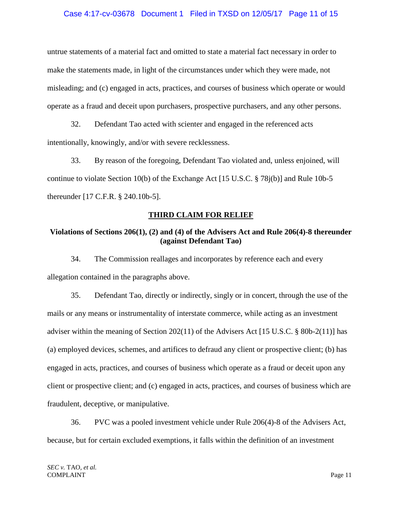### Case 4:17-cv-03678 Document 1 Filed in TXSD on 12/05/17 Page 11 of 15

untrue statements of a material fact and omitted to state a material fact necessary in order to make the statements made, in light of the circumstances under which they were made, not misleading; and (c) engaged in acts, practices, and courses of business which operate or would operate as a fraud and deceit upon purchasers, prospective purchasers, and any other persons.

32. Defendant Tao acted with scienter and engaged in the referenced acts intentionally, knowingly, and/or with severe recklessness.

33. By reason of the foregoing, Defendant Tao violated and, unless enjoined, will continue to violate Section 10(b) of the Exchange Act [15 U.S.C. § 78j(b)] and Rule 10b-5 thereunder [17 C.F.R. § 240.10b-5].

## **THIRD CLAIM FOR RELIEF**

# **Violations of Sections 206(1), (2) and (4) of the Advisers Act and Rule 206(4)-8 thereunder (against Defendant Tao)**

34. The Commission reallages and incorporates by reference each and every allegation contained in the paragraphs above.

35. Defendant Tao, directly or indirectly, singly or in concert, through the use of the mails or any means or instrumentality of interstate commerce, while acting as an investment adviser within the meaning of Section 202(11) of the Advisers Act [15 U.S.C. § 80b-2(11)] has (a) employed devices, schemes, and artifices to defraud any client or prospective client; (b) has engaged in acts, practices, and courses of business which operate as a fraud or deceit upon any client or prospective client; and (c) engaged in acts, practices, and courses of business which are fraudulent, deceptive, or manipulative.

36. PVC was a pooled investment vehicle under Rule 206(4)-8 of the Advisers Act, because, but for certain excluded exemptions, it falls within the definition of an investment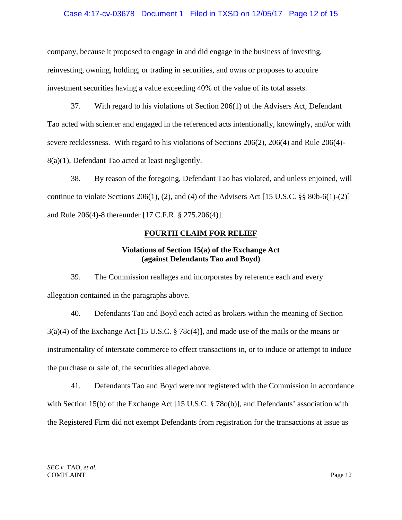### Case 4:17-cv-03678 Document 1 Filed in TXSD on 12/05/17 Page 12 of 15

company, because it proposed to engage in and did engage in the business of investing, reinvesting, owning, holding, or trading in securities, and owns or proposes to acquire investment securities having a value exceeding 40% of the value of its total assets.

37. With regard to his violations of Section 206(1) of the Advisers Act, Defendant Tao acted with scienter and engaged in the referenced acts intentionally, knowingly, and/or with severe recklessness. With regard to his violations of Sections 206(2), 206(4) and Rule 206(4)- 8(a)(1), Defendant Tao acted at least negligently.

38. By reason of the foregoing, Defendant Tao has violated, and unless enjoined, will continue to violate Sections 206(1), (2), and (4) of the Advisers Act  $[15 \text{ U.S.C.}$  §§ 80b-6(1)-(2)] and Rule 206(4)-8 thereunder [17 C.F.R. § 275.206(4)].

# **FOURTH CLAIM FOR RELIEF**

# **Violations of Section 15(a) of the Exchange Act (against Defendants Tao and Boyd)**

39. The Commission reallages and incorporates by reference each and every allegation contained in the paragraphs above.

40. Defendants Tao and Boyd each acted as brokers within the meaning of Section 3(a)(4) of the Exchange Act [15 U.S.C. § 78c(4)], and made use of the mails or the means or instrumentality of interstate commerce to effect transactions in, or to induce or attempt to induce the purchase or sale of, the securities alleged above.

41. Defendants Tao and Boyd were not registered with the Commission in accordance with Section 15(b) of the Exchange Act [15 U.S.C. § 78o(b)], and Defendants' association with the Registered Firm did not exempt Defendants from registration for the transactions at issue as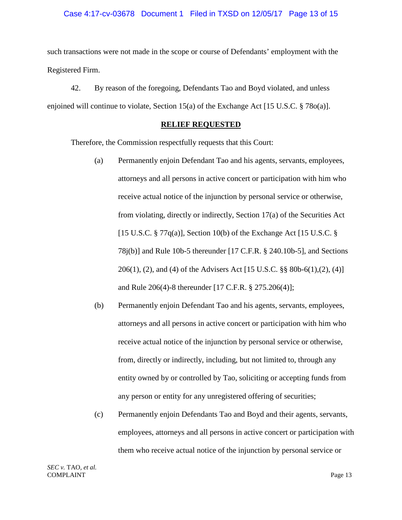### Case 4:17-cv-03678 Document 1 Filed in TXSD on 12/05/17 Page 13 of 15

such transactions were not made in the scope or course of Defendants' employment with the Registered Firm.

42. By reason of the foregoing, Defendants Tao and Boyd violated, and unless enjoined will continue to violate, Section 15(a) of the Exchange Act [15 U.S.C. § 78o(a)].

### **RELIEF REQUESTED**

Therefore, the Commission respectfully requests that this Court:

- (a) Permanently enjoin Defendant Tao and his agents, servants, employees, attorneys and all persons in active concert or participation with him who receive actual notice of the injunction by personal service or otherwise, from violating, directly or indirectly, Section 17(a) of the Securities Act [15 U.S.C. § 77 $q(a)$ ], Section 10(b) of the Exchange Act [15 U.S.C. § 78j(b)] and Rule 10b-5 thereunder [17 C.F.R. § 240.10b-5], and Sections 206(1), (2), and (4) of the Advisers Act [15 U.S.C. §§ 80b-6(1),(2), (4)] and Rule 206(4)-8 thereunder [17 C.F.R. § 275.206(4)];
- (b) Permanently enjoin Defendant Tao and his agents, servants, employees, attorneys and all persons in active concert or participation with him who receive actual notice of the injunction by personal service or otherwise, from, directly or indirectly, including, but not limited to, through any entity owned by or controlled by Tao, soliciting or accepting funds from any person or entity for any unregistered offering of securities;
- (c) Permanently enjoin Defendants Tao and Boyd and their agents, servants, employees, attorneys and all persons in active concert or participation with them who receive actual notice of the injunction by personal service or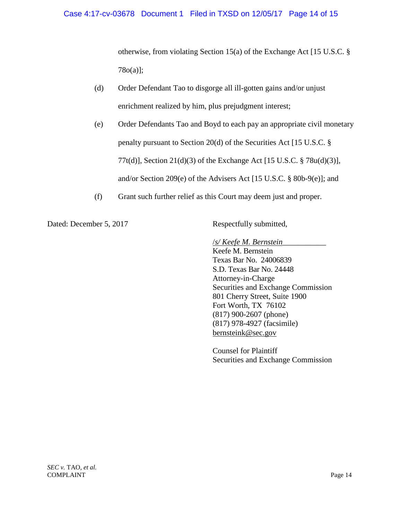## Case 4:17-cv-03678 Document 1 Filed in TXSD on 12/05/17 Page 14 of 15

otherwise, from violating Section 15(a) of the Exchange Act [15 U.S.C. § 78o(a)];

- (d) Order Defendant Tao to disgorge all ill-gotten gains and/or unjust enrichment realized by him, plus prejudgment interest;
- (e) Order Defendants Tao and Boyd to each pay an appropriate civil monetary penalty pursuant to Section 20(d) of the Securities Act [15 U.S.C. § 77t(d)], Section 21(d)(3) of the Exchange Act [15 U.S.C. § 78u(d)(3)], and/or Section 209(e) of the Advisers Act [15 U.S.C. § 80b-9(e)]; and
- (f) Grant such further relief as this Court may deem just and proper.

Dated: December 5, 2017 Respectfully submitted,

/*s/ Keefe M. Bernstein*\_\_\_\_\_\_\_\_\_\_\_

Keefe M. Bernstein Texas Bar No. 24006839 S.D. Texas Bar No. 24448 Attorney-in-Charge Securities and Exchange Commission 801 Cherry Street, Suite 1900 Fort Worth, TX 76102 (817) 900-2607 (phone) (817) 978-4927 (facsimile) bernsteink@sec.gov

Counsel for Plaintiff Securities and Exchange Commission